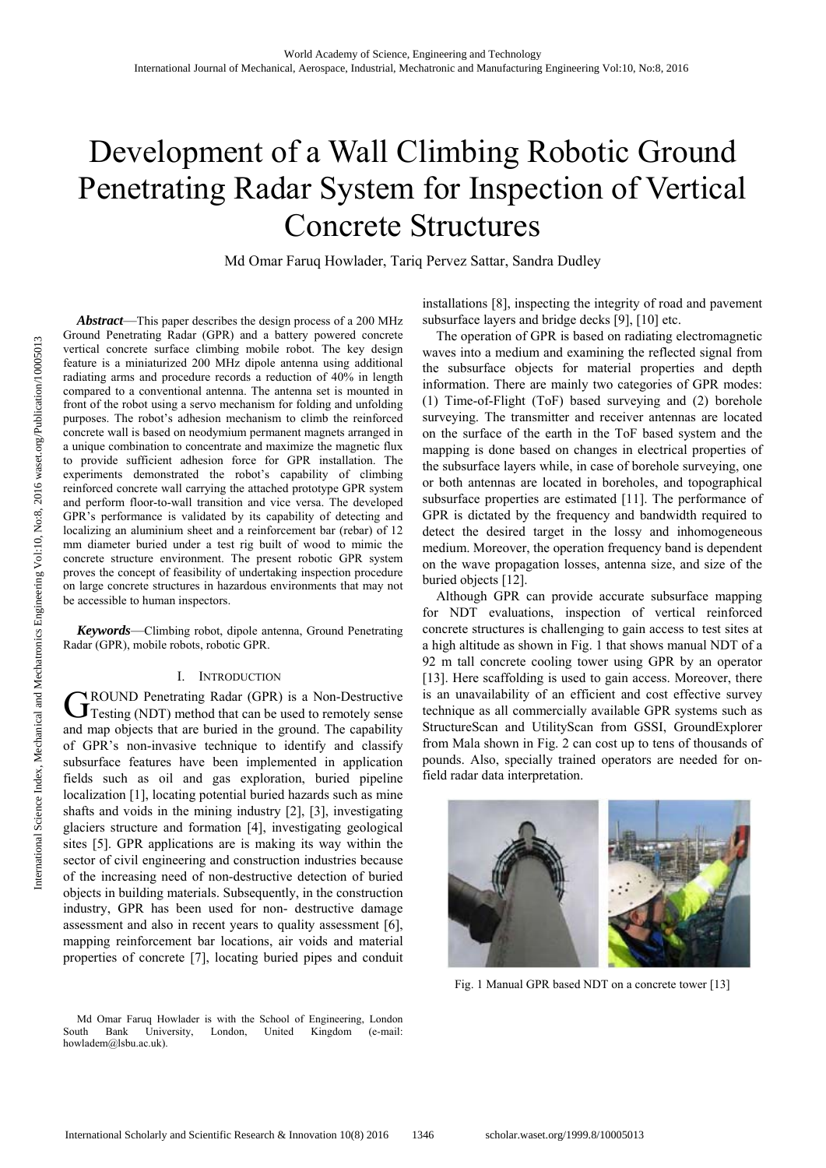# Development of a Wall Climbing Robotic Ground Penetrating Radar System for Inspection of Vertical Concrete Structures

Md Omar Faruq Howlader, Tariq Pervez Sattar, Sandra Dudley

*Abstract*—This paper describes the design process of a 200 MHz Ground Penetrating Radar (GPR) and a battery powered concrete vertical concrete surface climbing mobile robot. The key design feature is a miniaturized 200 MHz dipole antenna using additional radiating arms and procedure records a reduction of 40% in length compared to a conventional antenna. The antenna set is mounted in front of the robot using a servo mechanism for folding and unfolding purposes. The robot's adhesion mechanism to climb the reinforced concrete wall is based on neodymium permanent magnets arranged in a unique combination to concentrate and maximize the magnetic flux to provide sufficient adhesion force for GPR installation. The experiments demonstrated the robot's capability of climbing reinforced concrete wall carrying the attached prototype GPR system and perform floor-to-wall transition and vice versa. The developed GPR's performance is validated by its capability of detecting and localizing an aluminium sheet and a reinforcement bar (rebar) of 12 mm diameter buried under a test rig built of wood to mimic the concrete structure environment. The present robotic GPR system proves the concept of feasibility of undertaking inspection procedure on large concrete structures in hazardous environments that may not be accessible to human inspectors.

*Keywords*—Climbing robot, dipole antenna, Ground Penetrating Radar (GPR), mobile robots, robotic GPR.

# I. INTRODUCTION

ROUND Penetrating Radar (GPR) is a Non-Destructive GROUND Penetrating Radar (GPR) is a Non-Destructive<br>
Testing (NDT) method that can be used to remotely sense and map objects that are buried in the ground. The capability of GPR's non-invasive technique to identify and classify subsurface features have been implemented in application fields such as oil and gas exploration, buried pipeline localization [1], locating potential buried hazards such as mine shafts and voids in the mining industry [2], [3], investigating glaciers structure and formation [4], investigating geological sites [5]. GPR applications are is making its way within the sector of civil engineering and construction industries because of the increasing need of non-destructive detection of buried objects in building materials. Subsequently, in the construction industry, GPR has been used for non- destructive damage assessment and also in recent years to quality assessment [6], mapping reinforcement bar locations, air voids and material properties of concrete [7], locating buried pipes and conduit

Md Omar Faruq Howlader is with the School of Engineering, London South Bank University, London, United Kingdom (e-mail: howladem@lsbu.ac.uk).

installations [8], inspecting the integrity of road and pavement subsurface layers and bridge decks [9], [10] etc.

The operation of GPR is based on radiating electromagnetic waves into a medium and examining the reflected signal from the subsurface objects for material properties and depth information. There are mainly two categories of GPR modes: (1) Time-of-Flight (ToF) based surveying and (2) borehole surveying. The transmitter and receiver antennas are located on the surface of the earth in the ToF based system and the mapping is done based on changes in electrical properties of the subsurface layers while, in case of borehole surveying, one or both antennas are located in boreholes, and topographical subsurface properties are estimated [11]. The performance of GPR is dictated by the frequency and bandwidth required to detect the desired target in the lossy and inhomogeneous medium. Moreover, the operation frequency band is dependent on the wave propagation losses, antenna size, and size of the buried objects [12].

Although GPR can provide accurate subsurface mapping for NDT evaluations, inspection of vertical reinforced concrete structures is challenging to gain access to test sites at a high altitude as shown in Fig. 1 that shows manual NDT of a 92 m tall concrete cooling tower using GPR by an operator [13]. Here scaffolding is used to gain access. Moreover, there is an unavailability of an efficient and cost effective survey technique as all commercially available GPR systems such as StructureScan and UtilityScan from GSSI, GroundExplorer from Mala shown in Fig. 2 can cost up to tens of thousands of pounds. Also, specially trained operators are needed for onfield radar data interpretation.



Fig. 1 Manual GPR based NDT on a concrete tower [13]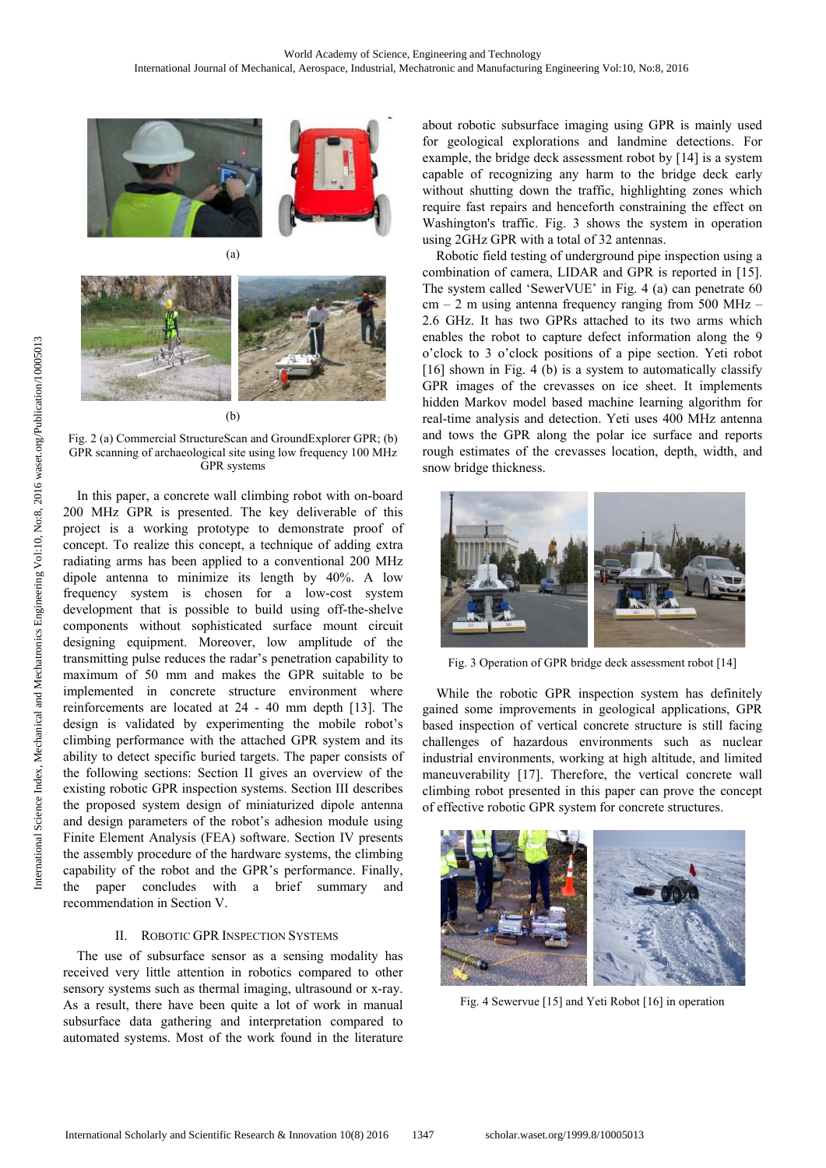





(b)

Fig. 2 (a) Commercial StructureScan and GroundExplorer GPR; (b) GPR scanning of archaeological site using low frequency 100 MHz GPR systems

In this paper, a concrete wall climbing robot with on-board 200 MHz GPR is presented. The key deliverable of this project is a working prototype to demonstrate proof of concept. To realize this concept, a technique of adding extra radiating arms has been applied to a conventional 200 MHz dipole antenna to minimize its length by 40%. A low frequency system is chosen for a low-cost system development that is possible to build using off-the-shelve components without sophisticated surface mount circuit designing equipment. Moreover, low amplitude of the transmitting pulse reduces the radar's penetration capability to maximum of 50 mm and makes the GPR suitable to be implemented in concrete structure environment where reinforcements are located at 24 - 40 mm depth [13]. The design is validated by experimenting the mobile robot's climbing performance with the attached GPR system and its ability to detect specific buried targets. The paper consists of the following sections: Section II gives an overview of the existing robotic GPR inspection systems. Section III describes the proposed system design of miniaturized dipole antenna and design parameters of the robot's adhesion module using Finite Element Analysis (FEA) software. Section IV presents the assembly procedure of the hardware systems, the climbing capability of the robot and the GPR's performance. Finally, the paper concludes with a brief summary and recommendation in Section V.

# II. ROBOTIC GPR INSPECTION SYSTEMS

The use of subsurface sensor as a sensing modality has received very little attention in robotics compared to other sensory systems such as thermal imaging, ultrasound or x-ray. As a result, there have been quite a lot of work in manual subsurface data gathering and interpretation compared to automated systems. Most of the work found in the literature

about robotic subsurface imaging using GPR is mainly used for geological explorations and landmine detections. For example, the bridge deck assessment robot by [14] is a system capable of recognizing any harm to the bridge deck early without shutting down the traffic, highlighting zones which require fast repairs and henceforth constraining the effect on Washington's traffic. Fig. 3 shows the system in operation using 2GHz GPR with a total of 32 antennas.

Robotic field testing of underground pipe inspection using a combination of camera, LIDAR and GPR is reported in [15]. The system called 'SewerVUE' in Fig. 4 (a) can penetrate 60  $cm - 2$  m using antenna frequency ranging from 500 MHz – 2.6 GHz. It has two GPRs attached to its two arms which enables the robot to capture defect information along the 9 o'clock to 3 o'clock positions of a pipe section. Yeti robot [16] shown in Fig. 4 (b) is a system to automatically classify GPR images of the crevasses on ice sheet. It implements hidden Markov model based machine learning algorithm for real-time analysis and detection. Yeti uses 400 MHz antenna and tows the GPR along the polar ice surface and reports rough estimates of the crevasses location, depth, width, and snow bridge thickness.



Fig. 3 Operation of GPR bridge deck assessment robot [14]

While the robotic GPR inspection system has definitely gained some improvements in geological applications, GPR based inspection of vertical concrete structure is still facing challenges of hazardous environments such as nuclear industrial environments, working at high altitude, and limited maneuverability [17]. Therefore, the vertical concrete wall climbing robot presented in this paper can prove the concept of effective robotic GPR system for concrete structures.



Fig. 4 Sewervue [15] and Yeti Robot [16] in operation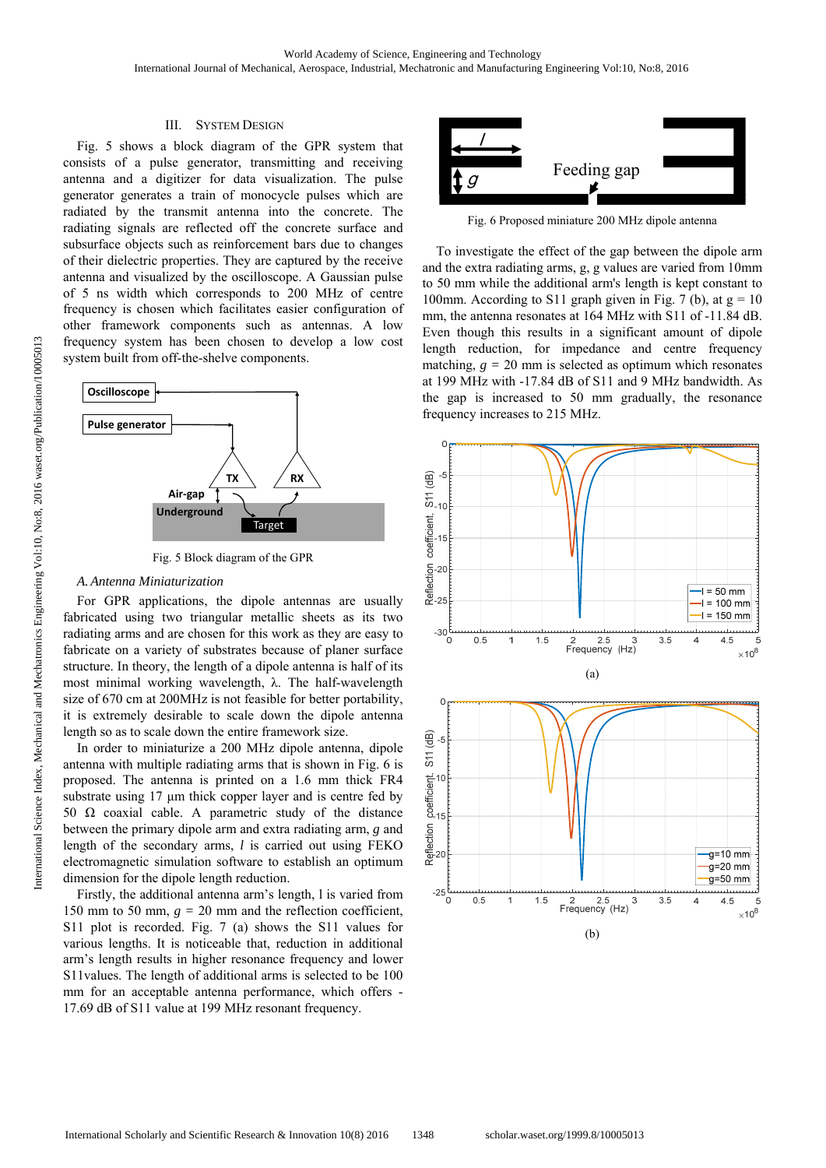# III. SYSTEM DESIGN

Fig. 5 shows a block diagram of the GPR system that consists of a pulse generator, transmitting and receiving antenna and a digitizer for data visualization. The pulse generator generates a train of monocycle pulses which are radiated by the transmit antenna into the concrete. The radiating signals are reflected off the concrete surface and subsurface objects such as reinforcement bars due to changes of their dielectric properties. They are captured by the receive antenna and visualized by the oscilloscope. A Gaussian pulse of 5 ns width which corresponds to 200 MHz of centre frequency is chosen which facilitates easier configuration of other framework components such as antennas. A low frequency system has been chosen to develop a low cost system built from off-the-shelve components.



Fig. 5 Block diagram of the GPR

#### *A. Antenna Miniaturization*

For GPR applications, the dipole antennas are usually fabricated using two triangular metallic sheets as its two radiating arms and are chosen for this work as they are easy to fabricate on a variety of substrates because of planer surface structure. In theory, the length of a dipole antenna is half of its most minimal working wavelength, λ. The half-wavelength size of 670 cm at 200MHz is not feasible for better portability, it is extremely desirable to scale down the dipole antenna length so as to scale down the entire framework size.

In order to miniaturize a 200 MHz dipole antenna, dipole antenna with multiple radiating arms that is shown in Fig. 6 is proposed. The antenna is printed on a 1.6 mm thick FR4 substrate using 17 μm thick copper layer and is centre fed by 50  $\Omega$  coaxial cable. A parametric study of the distance between the primary dipole arm and extra radiating arm, *g* and length of the secondary arms, *l* is carried out using FEKO electromagnetic simulation software to establish an optimum dimension for the dipole length reduction.

Firstly, the additional antenna arm's length, l is varied from 150 mm to 50 mm,  $g = 20$  mm and the reflection coefficient, S11 plot is recorded. Fig. 7 (a) shows the S11 values for various lengths. It is noticeable that, reduction in additional arm's length results in higher resonance frequency and lower S11values. The length of additional arms is selected to be 100 mm for an acceptable antenna performance, which offers - 17.69 dB of S11 value at 199 MHz resonant frequency.



Fig. 6 Proposed miniature 200 MHz dipole antenna

To investigate the effect of the gap between the dipole arm and the extra radiating arms, g, g values are varied from 10mm to 50 mm while the additional arm's length is kept constant to 100mm. According to S11 graph given in Fig. 7 (b), at  $g = 10$ mm, the antenna resonates at 164 MHz with S11 of -11.84 dB. Even though this results in a significant amount of dipole length reduction, for impedance and centre frequency matching,  $g = 20$  mm is selected as optimum which resonates at 199 MHz with -17.84 dB of S11 and 9 MHz bandwidth. As the gap is increased to 50 mm gradually, the resonance frequency increases to 215 MHz.

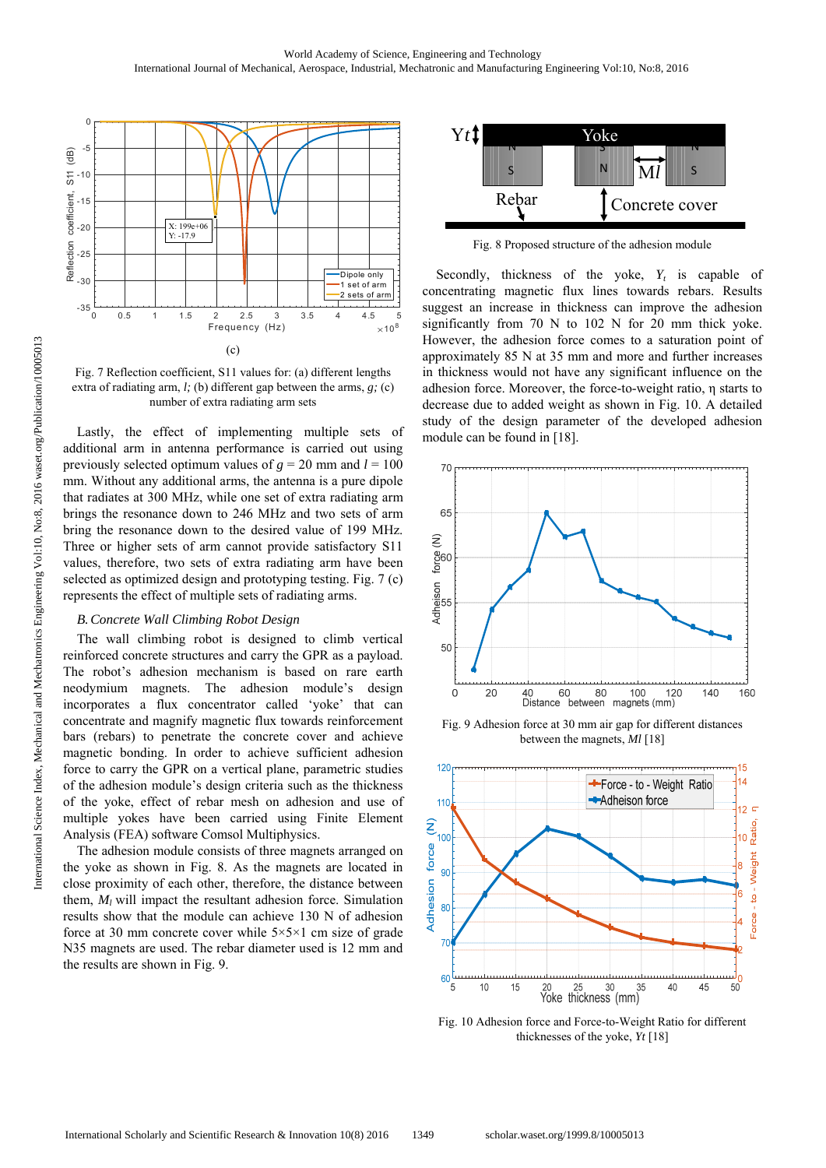

Fig. 7 Reflection coefficient, S11 values for: (a) different lengths extra of radiating arm, *l;* (b) different gap between the arms, *g;* (c) number of extra radiating arm sets

Lastly, the effect of implementing multiple sets of additional arm in antenna performance is carried out using previously selected optimum values of  $g = 20$  mm and  $l = 100$ mm. Without any additional arms, the antenna is a pure dipole that radiates at 300 MHz, while one set of extra radiating arm brings the resonance down to 246 MHz and two sets of arm bring the resonance down to the desired value of 199 MHz. Three or higher sets of arm cannot provide satisfactory S11 values, therefore, two sets of extra radiating arm have been selected as optimized design and prototyping testing. Fig. 7 (c) represents the effect of multiple sets of radiating arms.

# *B.Concrete Wall Climbing Robot Design*

The wall climbing robot is designed to climb vertical reinforced concrete structures and carry the GPR as a payload. The robot's adhesion mechanism is based on rare earth neodymium magnets. The adhesion module's design incorporates a flux concentrator called 'yoke' that can concentrate and magnify magnetic flux towards reinforcement bars (rebars) to penetrate the concrete cover and achieve magnetic bonding. In order to achieve sufficient adhesion force to carry the GPR on a vertical plane, parametric studies of the adhesion module's design criteria such as the thickness of the yoke, effect of rebar mesh on adhesion and use of multiple yokes have been carried using Finite Element Analysis (FEA) software Comsol Multiphysics.

The adhesion module consists of three magnets arranged on the yoke as shown in Fig. 8. As the magnets are located in close proximity of each other, therefore, the distance between them,  $M_l$  will impact the resultant adhesion force. Simulation results show that the module can achieve 130 N of adhesion force at 30 mm concrete cover while  $5 \times 5 \times 1$  cm size of grade N35 magnets are used. The rebar diameter used is 12 mm and the results are shown in Fig. 9.



Fig. 8 Proposed structure of the adhesion module

Secondly, thickness of the yoke,  $Y_t$  is capable of concentrating magnetic flux lines towards rebars. Results suggest an increase in thickness can improve the adhesion significantly from 70 N to 102 N for 20 mm thick yoke. However, the adhesion force comes to a saturation point of approximately 85 N at 35 mm and more and further increases in thickness would not have any significant influence on the adhesion force. Moreover, the force-to-weight ratio, η starts to decrease due to added weight as shown in Fig. 10. A detailed study of the design parameter of the developed adhesion module can be found in [18].



Fig. 9 Adhesion force at 30 mm air gap for different distances between the magnets, *Ml* [18]



Fig. 10 Adhesion force and Force-to-Weight Ratio for different thicknesses of the yoke, *Yt* [18]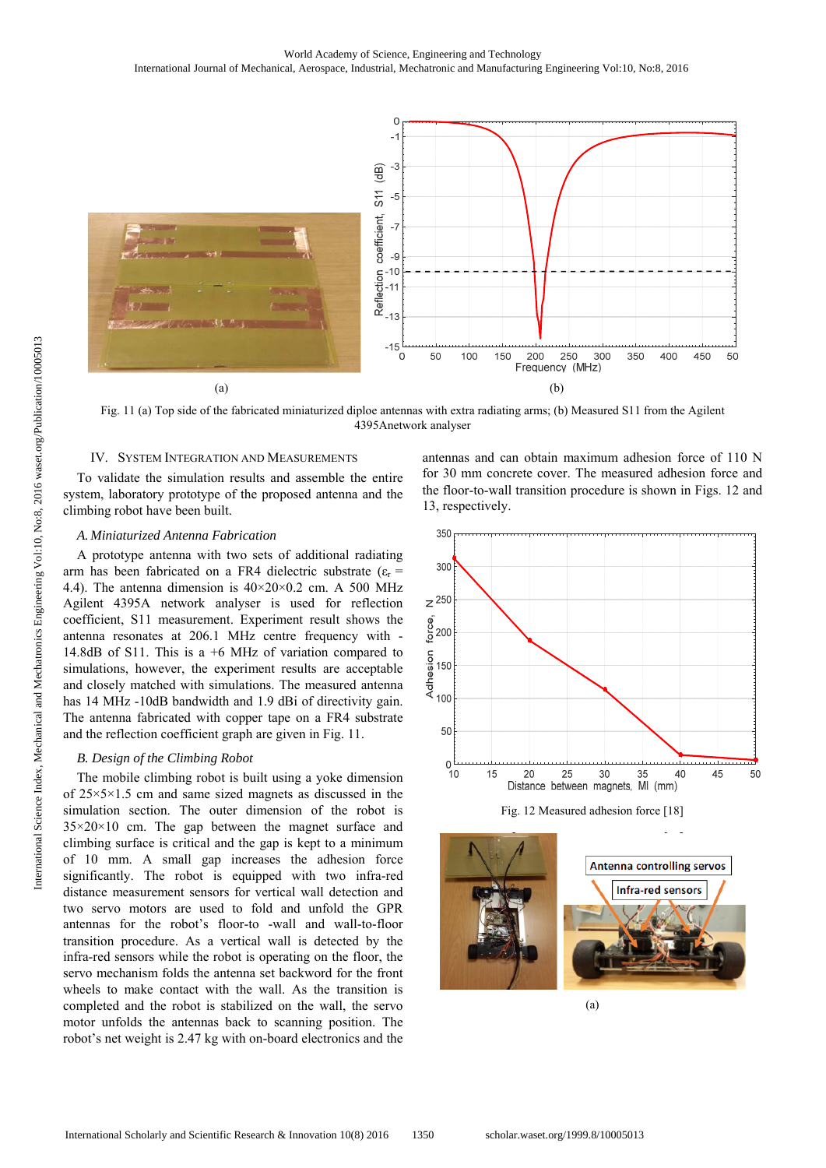

Fig. 11 (a) Top side of the fabricated miniaturized diploe antennas with extra radiating arms; (b) Measured S11 from the Agilent 4395Anetwork analyser

# IV. SYSTEM INTEGRATION AND MEASUREMENTS

To validate the simulation results and assemble the entire system, laboratory prototype of the proposed antenna and the climbing robot have been built.

#### *A. Miniaturized Antenna Fabrication*

A prototype antenna with two sets of additional radiating arm has been fabricated on a FR4 dielectric substrate  $(\varepsilon_r =$ 4.4). The antenna dimension is  $40 \times 20 \times 0.2$  cm. A 500 MHz Agilent 4395A network analyser is used for reflection coefficient, S11 measurement. Experiment result shows the antenna resonates at 206.1 MHz centre frequency with - 14.8dB of S11. This is a +6 MHz of variation compared to simulations, however, the experiment results are acceptable and closely matched with simulations. The measured antenna has 14 MHz -10dB bandwidth and 1.9 dBi of directivity gain. The antenna fabricated with copper tape on a FR4 substrate and the reflection coefficient graph are given in Fig. 11.

# *B. Design of the Climbing Robot*

The mobile climbing robot is built using a yoke dimension of 25×5×1.5 cm and same sized magnets as discussed in the simulation section. The outer dimension of the robot is  $35 \times 20 \times 10$  cm. The gap between the magnet surface and climbing surface is critical and the gap is kept to a minimum of 10 mm. A small gap increases the adhesion force significantly. The robot is equipped with two infra-red distance measurement sensors for vertical wall detection and two servo motors are used to fold and unfold the GPR antennas for the robot's floor-to -wall and wall-to-floor transition procedure. As a vertical wall is detected by the infra-red sensors while the robot is operating on the floor, the servo mechanism folds the antenna set backword for the front wheels to make contact with the wall. As the transition is completed and the robot is stabilized on the wall, the servo motor unfolds the antennas back to scanning position. The robot's net weight is 2.47 kg with on-board electronics and the antennas and can obtain maximum adhesion force of 110 N for 30 mm concrete cover. The measured adhesion force and the floor-to-wall transition procedure is shown in Figs. 12 and 13, respectively.







(a)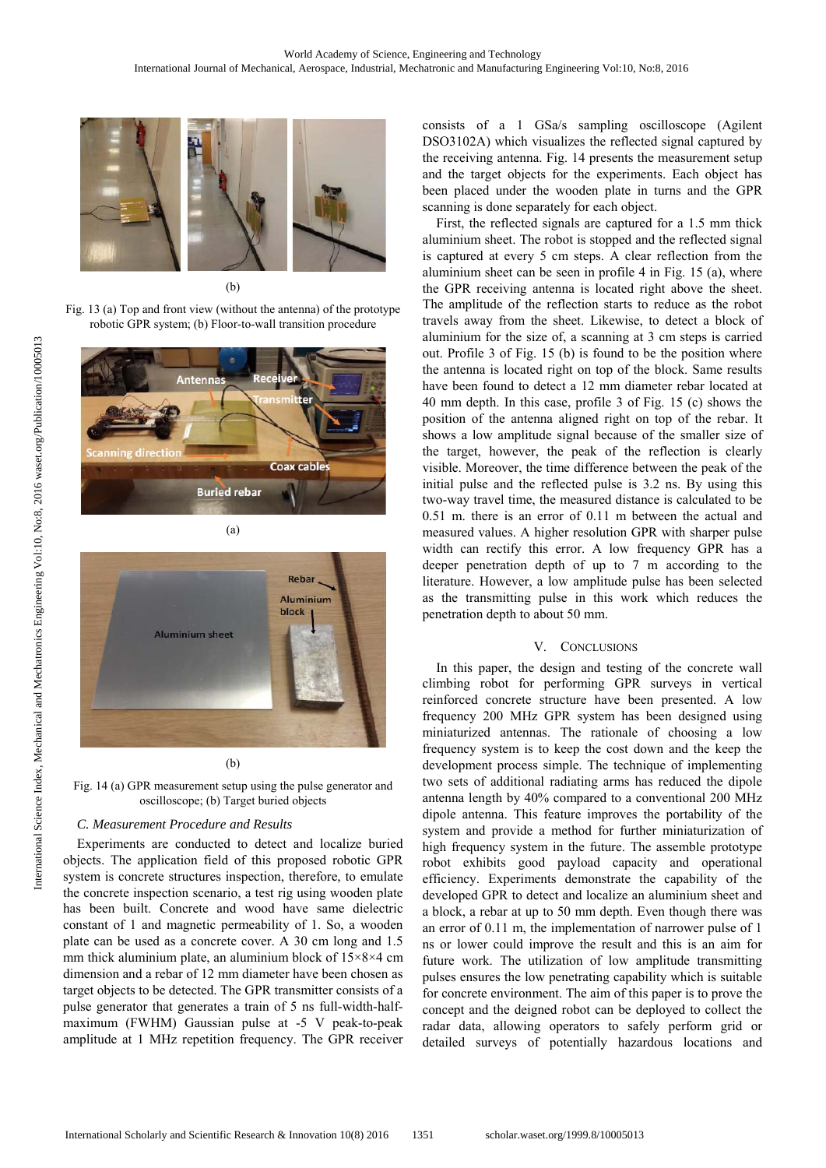

(b)

Fig. 13 (a) Top and front view (without the antenna) of the prototype robotic GPR system; (b) Floor-to-wall transition procedure



(a)



(b)

Fig. 14 (a) GPR measurement setup using the pulse generator and oscilloscope; (b) Target buried objects

# *C. Measurement Procedure and Results*

Experiments are conducted to detect and localize buried objects. The application field of this proposed robotic GPR system is concrete structures inspection, therefore, to emulate the concrete inspection scenario, a test rig using wooden plate has been built. Concrete and wood have same dielectric constant of 1 and magnetic permeability of 1. So, a wooden plate can be used as a concrete cover. A 30 cm long and 1.5 mm thick aluminium plate, an aluminium block of 15×8×4 cm dimension and a rebar of 12 mm diameter have been chosen as target objects to be detected. The GPR transmitter consists of a pulse generator that generates a train of 5 ns full-width-halfmaximum (FWHM) Gaussian pulse at -5 V peak-to-peak amplitude at 1 MHz repetition frequency. The GPR receiver consists of a 1 GSa/s sampling oscilloscope (Agilent DSO3102A) which visualizes the reflected signal captured by the receiving antenna. Fig. 14 presents the measurement setup and the target objects for the experiments. Each object has been placed under the wooden plate in turns and the GPR scanning is done separately for each object.

First, the reflected signals are captured for a 1.5 mm thick aluminium sheet. The robot is stopped and the reflected signal is captured at every 5 cm steps. A clear reflection from the aluminium sheet can be seen in profile 4 in Fig. 15 (a), where the GPR receiving antenna is located right above the sheet. The amplitude of the reflection starts to reduce as the robot travels away from the sheet. Likewise, to detect a block of aluminium for the size of, a scanning at 3 cm steps is carried out. Profile 3 of Fig. 15 (b) is found to be the position where the antenna is located right on top of the block. Same results have been found to detect a 12 mm diameter rebar located at 40 mm depth. In this case, profile 3 of Fig. 15 (c) shows the position of the antenna aligned right on top of the rebar. It shows a low amplitude signal because of the smaller size of the target, however, the peak of the reflection is clearly visible. Moreover, the time difference between the peak of the initial pulse and the reflected pulse is 3.2 ns. By using this two-way travel time, the measured distance is calculated to be 0.51 m. there is an error of 0.11 m between the actual and measured values. A higher resolution GPR with sharper pulse width can rectify this error. A low frequency GPR has a deeper penetration depth of up to 7 m according to the literature. However, a low amplitude pulse has been selected as the transmitting pulse in this work which reduces the penetration depth to about 50 mm.

# V. CONCLUSIONS

In this paper, the design and testing of the concrete wall climbing robot for performing GPR surveys in vertical reinforced concrete structure have been presented. A low frequency 200 MHz GPR system has been designed using miniaturized antennas. The rationale of choosing a low frequency system is to keep the cost down and the keep the development process simple. The technique of implementing two sets of additional radiating arms has reduced the dipole antenna length by 40% compared to a conventional 200 MHz dipole antenna. This feature improves the portability of the system and provide a method for further miniaturization of high frequency system in the future. The assemble prototype robot exhibits good payload capacity and operational efficiency. Experiments demonstrate the capability of the developed GPR to detect and localize an aluminium sheet and a block, a rebar at up to 50 mm depth. Even though there was an error of 0.11 m, the implementation of narrower pulse of 1 ns or lower could improve the result and this is an aim for future work. The utilization of low amplitude transmitting pulses ensures the low penetrating capability which is suitable for concrete environment. The aim of this paper is to prove the concept and the deigned robot can be deployed to collect the radar data, allowing operators to safely perform grid or detailed surveys of potentially hazardous locations and